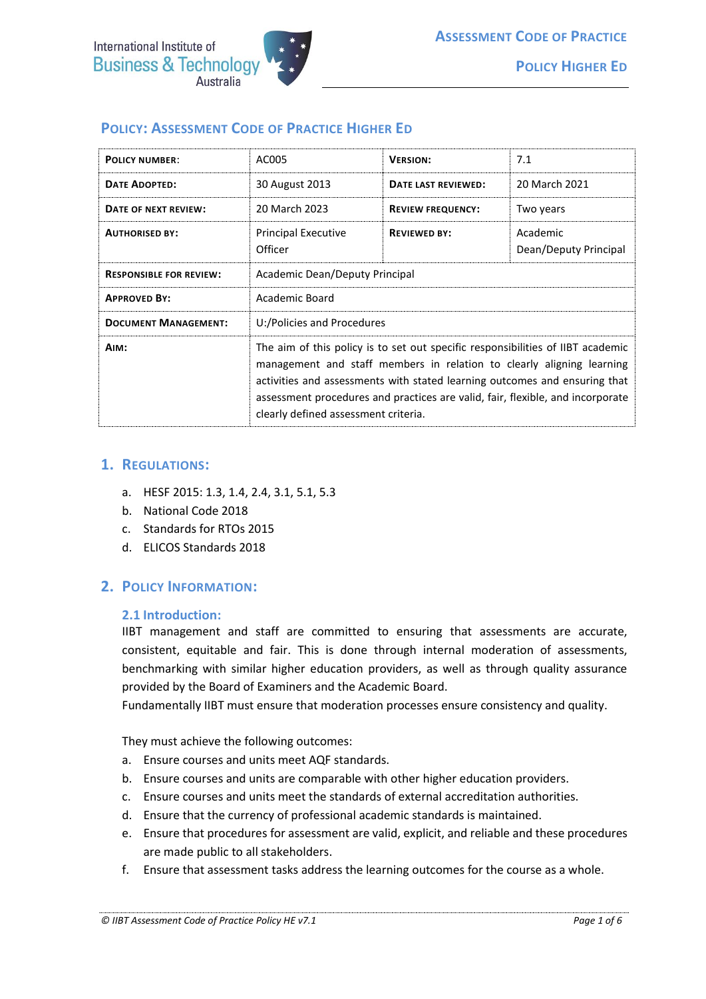

# **POLICY: ASSESSMENT CODE OF PRACTICE HIGHER ED**

| <b>POLICY NUMBER:</b>          | AC005                                                                                                                                                                                                                                                                                                                                                            | <b>VERSION:</b>          | 7.1                               |
|--------------------------------|------------------------------------------------------------------------------------------------------------------------------------------------------------------------------------------------------------------------------------------------------------------------------------------------------------------------------------------------------------------|--------------------------|-----------------------------------|
| <b>DATE ADOPTED:</b>           | 30 August 2013                                                                                                                                                                                                                                                                                                                                                   | DATE LAST REVIEWED:      | 20 March 2021                     |
| DATE OF NEXT REVIEW:           | 20 March 2023                                                                                                                                                                                                                                                                                                                                                    | <b>REVIEW FREQUENCY:</b> | Two years                         |
| <b>AUTHORISED BY:</b>          | <b>Principal Executive</b><br>Officer                                                                                                                                                                                                                                                                                                                            | <b>REVIEWED BY:</b>      | Academic<br>Dean/Deputy Principal |
| <b>RESPONSIBLE FOR REVIEW:</b> | Academic Dean/Deputy Principal                                                                                                                                                                                                                                                                                                                                   |                          |                                   |
| <b>APPROVED BY:</b>            | Academic Board                                                                                                                                                                                                                                                                                                                                                   |                          |                                   |
| <b>DOCUMENT MANAGEMENT:</b>    | U:/Policies and Procedures                                                                                                                                                                                                                                                                                                                                       |                          |                                   |
| AIM:                           | The aim of this policy is to set out specific responsibilities of IIBT academic<br>management and staff members in relation to clearly aligning learning<br>activities and assessments with stated learning outcomes and ensuring that<br>assessment procedures and practices are valid, fair, flexible, and incorporate<br>clearly defined assessment criteria. |                          |                                   |

## **1. REGULATIONS:**

- a. HESF 2015: 1.3, 1.4, 2.4, 3.1, 5.1, 5.3
- b. National Code 2018
- c. Standards for RTOs 2015
- d. ELICOS Standards 2018

# **2. POLICY INFORMATION:**

#### **2.1 Introduction:**

IIBT management and staff are committed to ensuring that assessments are accurate, consistent, equitable and fair. This is done through internal moderation of assessments, benchmarking with similar higher education providers, as well as through quality assurance provided by the Board of Examiners and the Academic Board.

Fundamentally IIBT must ensure that moderation processes ensure consistency and quality.

They must achieve the following outcomes:

- a. Ensure courses and units meet AQF standards.
- b. Ensure courses and units are comparable with other higher education providers.
- c. Ensure courses and units meet the standards of external accreditation authorities.
- d. Ensure that the currency of professional academic standards is maintained.
- e. Ensure that procedures for assessment are valid, explicit, and reliable and these procedures are made public to all stakeholders.
- f. Ensure that assessment tasks address the learning outcomes for the course as a whole.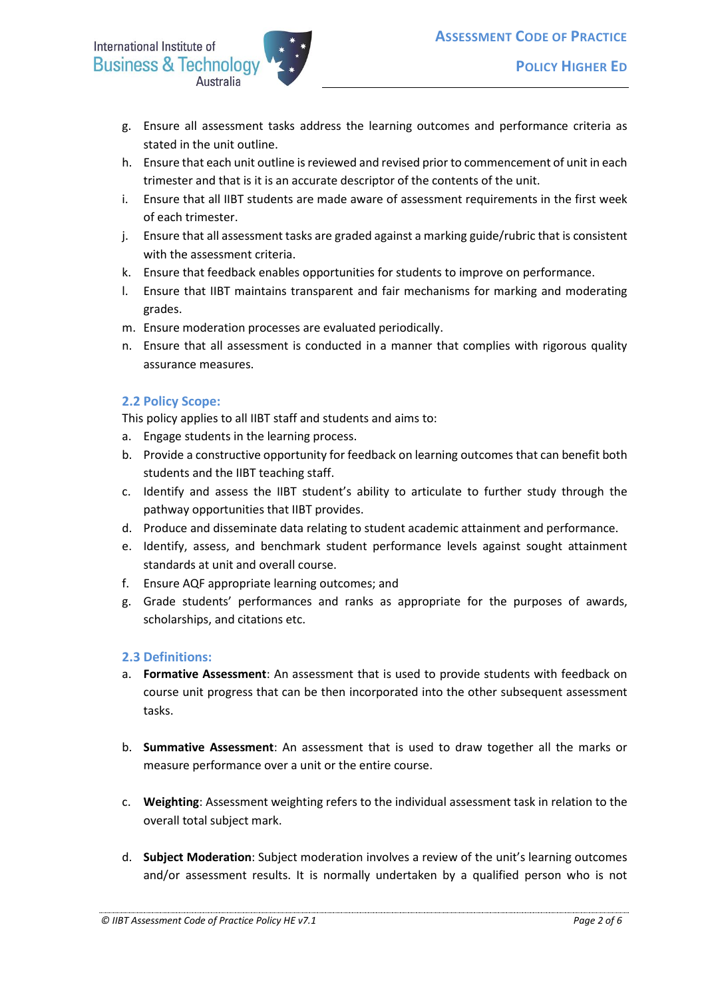

- g. Ensure all assessment tasks address the learning outcomes and performance criteria as stated in the unit outline.
- h. Ensure that each unit outline is reviewed and revised prior to commencement of unit in each trimester and that is it is an accurate descriptor of the contents of the unit.
- i. Ensure that all IIBT students are made aware of assessment requirements in the first week of each trimester.
- j. Ensure that all assessment tasks are graded against a marking guide/rubric that is consistent with the assessment criteria.
- k. Ensure that feedback enables opportunities for students to improve on performance.
- l. Ensure that IIBT maintains transparent and fair mechanisms for marking and moderating grades.
- m. Ensure moderation processes are evaluated periodically.
- n. Ensure that all assessment is conducted in a manner that complies with rigorous quality assurance measures.

## **2.2 Policy Scope:**

This policy applies to all IIBT staff and students and aims to:

- a. Engage students in the learning process.
- b. Provide a constructive opportunity for feedback on learning outcomes that can benefit both students and the IIBT teaching staff.
- c. Identify and assess the IIBT student's ability to articulate to further study through the pathway opportunities that IIBT provides.
- d. Produce and disseminate data relating to student academic attainment and performance.
- e. Identify, assess, and benchmark student performance levels against sought attainment standards at unit and overall course.
- f. Ensure AQF appropriate learning outcomes; and
- g. Grade students' performances and ranks as appropriate for the purposes of awards, scholarships, and citations etc.

# **2.3 Definitions:**

- a. **Formative Assessment**: An assessment that is used to provide students with feedback on course unit progress that can be then incorporated into the other subsequent assessment tasks.
- b. **Summative Assessment**: An assessment that is used to draw together all the marks or measure performance over a unit or the entire course.
- c. **Weighting**: Assessment weighting refers to the individual assessment task in relation to the overall total subject mark.
- d. **Subject Moderation**: Subject moderation involves a review of the unit's learning outcomes and/or assessment results. It is normally undertaken by a qualified person who is not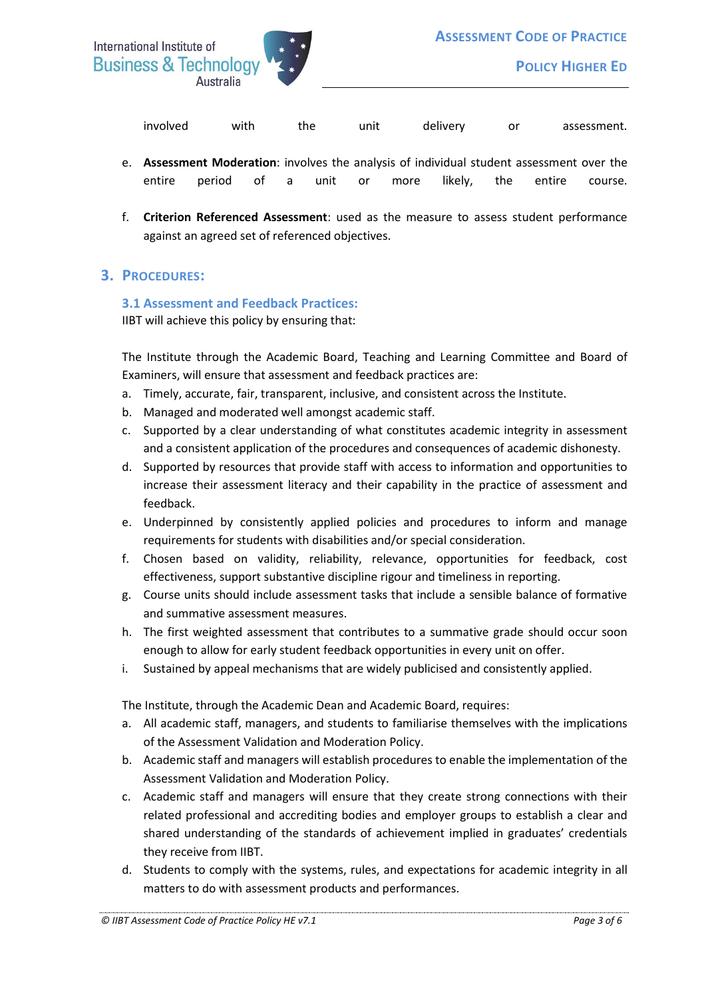

involved with the unit delivery or assessment.

- e. **Assessment Moderation**: involves the analysis of individual student assessment over the entire period of a unit or more likely, the entire course.
- f. **Criterion Referenced Assessment**: used as the measure to assess student performance against an agreed set of referenced objectives.

## **3. PROCEDURES:**

#### **3.1 Assessment and Feedback Practices:**

IIBT will achieve this policy by ensuring that:

The Institute through the Academic Board, Teaching and Learning Committee and Board of Examiners, will ensure that assessment and feedback practices are:

- a. Timely, accurate, fair, transparent, inclusive, and consistent across the Institute.
- b. Managed and moderated well amongst academic staff.
- c. Supported by a clear understanding of what constitutes academic integrity in assessment and a consistent application of the procedures and consequences of academic dishonesty.
- d. Supported by resources that provide staff with access to information and opportunities to increase their assessment literacy and their capability in the practice of assessment and feedback.
- e. Underpinned by consistently applied policies and procedures to inform and manage requirements for students with disabilities and/or special consideration.
- f. Chosen based on validity, reliability, relevance, opportunities for feedback, cost effectiveness, support substantive discipline rigour and timeliness in reporting.
- g. Course units should include assessment tasks that include a sensible balance of formative and summative assessment measures.
- h. The first weighted assessment that contributes to a summative grade should occur soon enough to allow for early student feedback opportunities in every unit on offer.
- i. Sustained by appeal mechanisms that are widely publicised and consistently applied.

The Institute, through the Academic Dean and Academic Board, requires:

- a. All academic staff, managers, and students to familiarise themselves with the implications of the Assessment Validation and Moderation Policy.
- b. Academic staff and managers will establish procedures to enable the implementation of the Assessment Validation and Moderation Policy.
- c. Academic staff and managers will ensure that they create strong connections with their related professional and accrediting bodies and employer groups to establish a clear and shared understanding of the standards of achievement implied in graduates' credentials they receive from IIBT.
- d. Students to comply with the systems, rules, and expectations for academic integrity in all matters to do with assessment products and performances.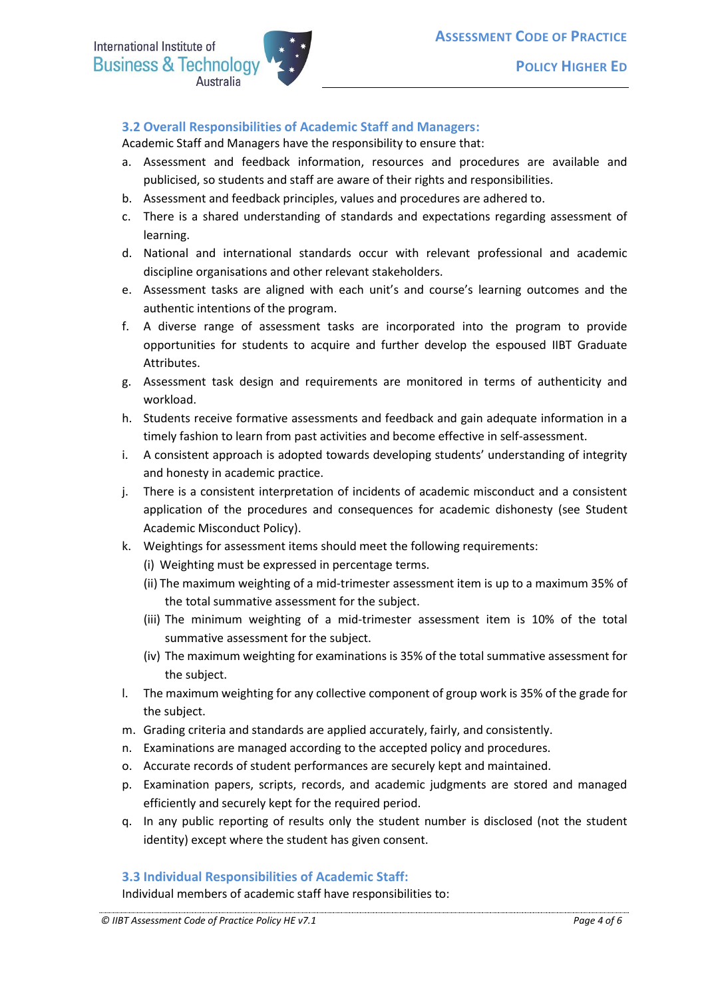

## **3.2 Overall Responsibilities of Academic Staff and Managers:**

Academic Staff and Managers have the responsibility to ensure that:

- a. Assessment and feedback information, resources and procedures are available and publicised, so students and staff are aware of their rights and responsibilities.
- b. Assessment and feedback principles, values and procedures are adhered to.
- c. There is a shared understanding of standards and expectations regarding assessment of learning.
- d. National and international standards occur with relevant professional and academic discipline organisations and other relevant stakeholders.
- e. Assessment tasks are aligned with each unit's and course's learning outcomes and the authentic intentions of the program.
- f. A diverse range of assessment tasks are incorporated into the program to provide opportunities for students to acquire and further develop the espoused IIBT Graduate Attributes.
- g. Assessment task design and requirements are monitored in terms of authenticity and workload.
- h. Students receive formative assessments and feedback and gain adequate information in a timely fashion to learn from past activities and become effective in self-assessment.
- i. A consistent approach is adopted towards developing students' understanding of integrity and honesty in academic practice.
- j. There is a consistent interpretation of incidents of academic misconduct and a consistent application of the procedures and consequences for academic dishonesty (see Student Academic Misconduct Policy).
- k. Weightings for assessment items should meet the following requirements:
	- (i) Weighting must be expressed in percentage terms.
	- (ii) The maximum weighting of a mid-trimester assessment item is up to a maximum 35% of the total summative assessment for the subject.
	- (iii) The minimum weighting of a mid-trimester assessment item is 10% of the total summative assessment for the subject.
	- (iv) The maximum weighting for examinations is 35% of the total summative assessment for the subject.
- l. The maximum weighting for any collective component of group work is 35% of the grade for the subject.
- m. Grading criteria and standards are applied accurately, fairly, and consistently.
- n. Examinations are managed according to the accepted policy and procedures.
- o. Accurate records of student performances are securely kept and maintained.
- p. Examination papers, scripts, records, and academic judgments are stored and managed efficiently and securely kept for the required period.
- q. In any public reporting of results only the student number is disclosed (not the student identity) except where the student has given consent.

### **3.3 Individual Responsibilities of Academic Staff:**

Individual members of academic staff have responsibilities to: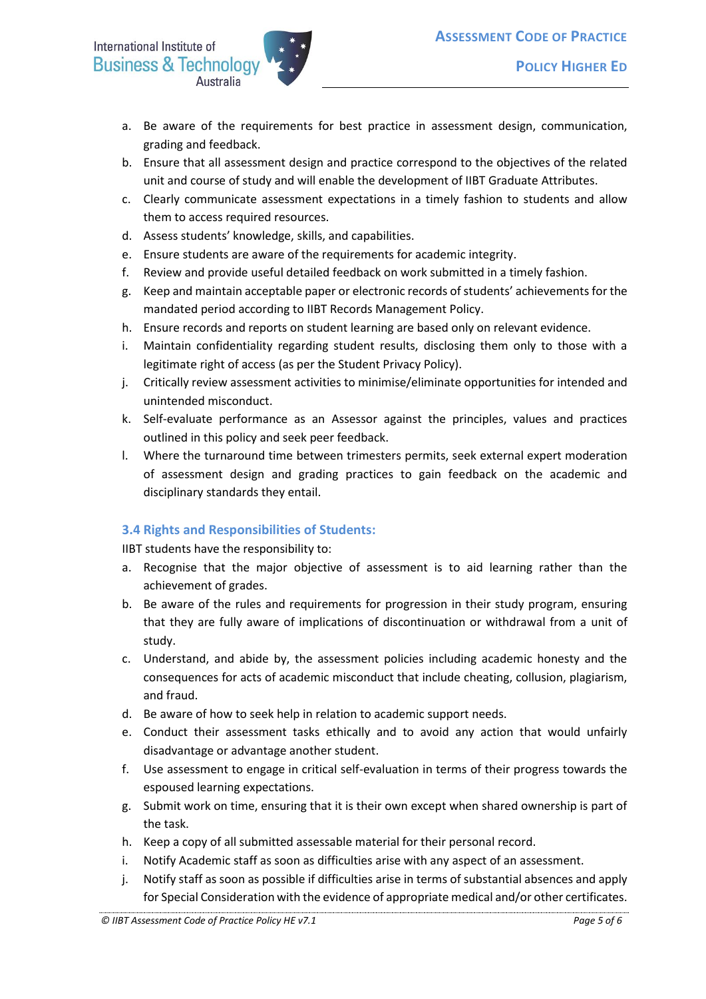

- a. Be aware of the requirements for best practice in assessment design, communication, grading and feedback.
- b. Ensure that all assessment design and practice correspond to the objectives of the related unit and course of study and will enable the development of IIBT Graduate Attributes.
- c. Clearly communicate assessment expectations in a timely fashion to students and allow them to access required resources.
- d. Assess students' knowledge, skills, and capabilities.
- e. Ensure students are aware of the requirements for academic integrity.
- f. Review and provide useful detailed feedback on work submitted in a timely fashion.
- g. Keep and maintain acceptable paper or electronic records of students' achievements for the mandated period according to IIBT Records Management Policy.
- h. Ensure records and reports on student learning are based only on relevant evidence.
- i. Maintain confidentiality regarding student results, disclosing them only to those with a legitimate right of access (as per the Student Privacy Policy).
- j. Critically review assessment activities to minimise/eliminate opportunities for intended and unintended misconduct.
- k. Self-evaluate performance as an Assessor against the principles, values and practices outlined in this policy and seek peer feedback.
- l. Where the turnaround time between trimesters permits, seek external expert moderation of assessment design and grading practices to gain feedback on the academic and disciplinary standards they entail.

# **3.4 Rights and Responsibilities of Students:**

IIBT students have the responsibility to:

- a. Recognise that the major objective of assessment is to aid learning rather than the achievement of grades.
- b. Be aware of the rules and requirements for progression in their study program, ensuring that they are fully aware of implications of discontinuation or withdrawal from a unit of study.
- c. Understand, and abide by, the assessment policies including academic honesty and the consequences for acts of academic misconduct that include cheating, collusion, plagiarism, and fraud.
- d. Be aware of how to seek help in relation to academic support needs.
- e. Conduct their assessment tasks ethically and to avoid any action that would unfairly disadvantage or advantage another student.
- f. Use assessment to engage in critical self-evaluation in terms of their progress towards the espoused learning expectations.
- g. Submit work on time, ensuring that it is their own except when shared ownership is part of the task.
- h. Keep a copy of all submitted assessable material for their personal record.
- i. Notify Academic staff as soon as difficulties arise with any aspect of an assessment.
- j. Notify staff as soon as possible if difficulties arise in terms of substantial absences and apply for Special Consideration with the evidence of appropriate medical and/or other certificates.